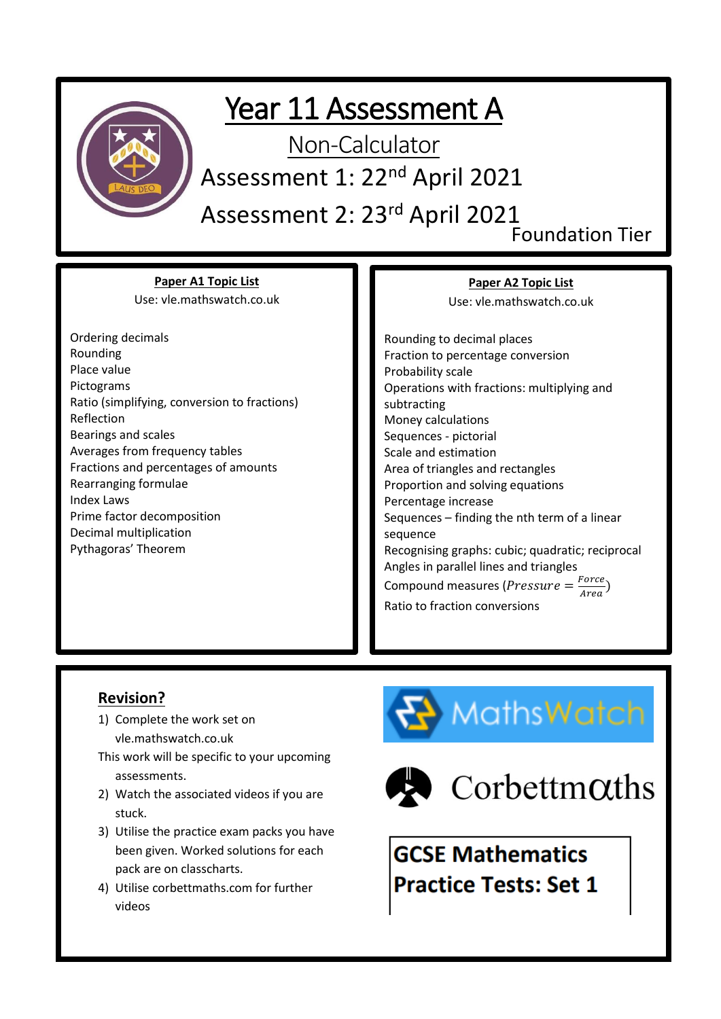

### Year 11 Assessment A

Non-Calculator

Assessment 1: 22<sup>nd</sup> April 2021

Assessment 2: 23rd April 2021

Foundation Tier

**Paper A1 Topic List** Use: vle.mathswatch.co.uk

Ordering decimals Rounding Place value Pictograms Ratio (simplifying, conversion to fractions) Reflection Bearings and scales Averages from frequency tables Fractions and percentages of amounts Rearranging formulae Index Laws Prime factor decomposition Decimal multiplication Pythagoras' Theorem

**Paper A2 Topic List**

Use: vle.mathswatch.co.uk

Rounding to decimal places Fraction to percentage conversion Probability scale Operations with fractions: multiplying and subtracting Money calculations Sequences - pictorial Scale and estimation Area of triangles and rectangles Proportion and solving equations Percentage increase Sequences – finding the nth term of a linear sequence Recognising graphs: cubic; quadratic; reciprocal Angles in parallel lines and triangles Compound measures (*Pressure* =  $\frac{Force}{Area}$  $\frac{(True)}{Area}$ Ratio to fraction conversions

#### **Revision?**

- 1) Complete the work set on vle.mathswatch.co.uk
- This work will be specific to your upcoming assessments.
- 2) Watch the associated videos if you are stuck.
- 3) Utilise the practice exam packs you have been given. Worked solutions for each pack are on classcharts.
- 4) Utilise corbettmaths.com for further videos





 $\bullet$  Corbettm $\alpha$ ths

**GCSE Mathematics Practice Tests: Set 1**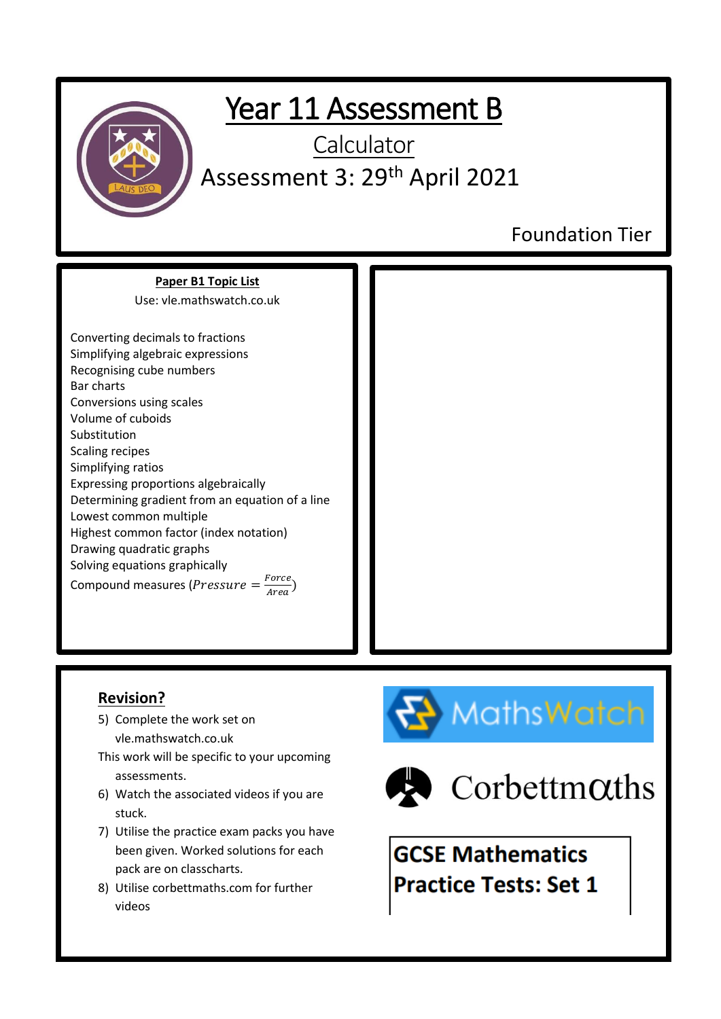

## Year 11 Assessment B

**Calculator** Assessment 3: 29<sup>th</sup> April 2021

Foundation Tier

**Paper B1 Topic List** Use: vle.mathswatch.co.uk

Converting decimals to fractions Simplifying algebraic expressions Recognising cube numbers Bar charts Conversions using scales Volume of cuboids Substitution Scaling recipes Simplifying ratios Expressing proportions algebraically Determining gradient from an equation of a line Lowest common multiple Highest common factor (index notation) Drawing quadratic graphs Solving equations graphically Compound measures (*Pressure* =  $\frac{Force}{Area}$  $\frac{1}{Area}$ )



### **Revision?**

- 5) Complete the work set on vle.mathswatch.co.uk
- This work will be specific to your upcoming assessments.
- 6) Watch the associated videos if you are stuck.
- 7) Utilise the practice exam packs you have been given. Worked solutions for each pack are on classcharts.
- 8) Utilise corbettmaths.com for further videos





 $\bullet$  Corbettm $\alpha$ ths

**GCSE Mathematics Practice Tests: Set 1**